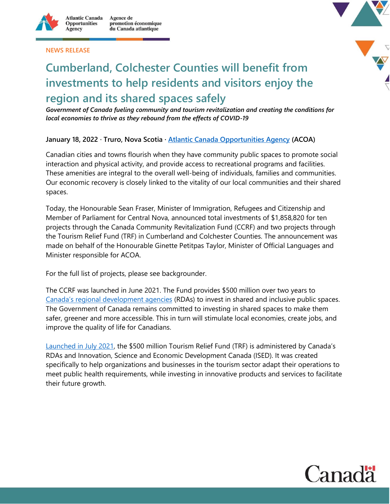

**NEWS RELEASE**



# **Cumberland, Colchester Counties will benefit from investments to help residents and visitors enjoy the region and its shared spaces safely**

*Government of Canada fueling community and tourism revitalization and creating the conditions for local economies to thrive as they rebound from the effects of COVID-19*

#### **January 18, 2022 · Truro, Nova Scotia · [Atlantic Canada Opportunities Agency](https://www.canada.ca/en/atlantic-canada-opportunities.html) (ACOA)**

Canadian cities and towns flourish when they have community public spaces to promote social interaction and physical activity, and provide access to recreational programs and facilities. These amenities are integral to the overall well-being of individuals, families and communities. Our economic recovery is closely linked to the vitality of our local communities and their shared spaces.

Today, the Honourable Sean Fraser, Minister of Immigration, Refugees and Citizenship and Member of Parliament for Central Nova, announced total investments of \$1,858,820 for ten projects through the Canada Community Revitalization Fund (CCRF) and two projects through the Tourism Relief Fund (TRF) in Cumberland and Colchester Counties. The announcement was made on behalf of the Honourable Ginette Petitpas Taylor, Minister of Official Languages and Minister responsible for ACOA.

For the full list of projects, please see backgrounder.

The CCRF was launched in June 2021. The Fund provides \$500 million over two years to [Canada's regional development agencies](https://www.ic.gc.ca/eic/site/icgc.nsf/eng/h_07662.html) (RDAs) to invest in shared and inclusive public spaces. The Government of Canada remains committed to investing in shared spaces to make them safer, greener and more accessible. This in turn will stimulate local economies, create jobs, and improve the quality of life for Canadians.

[Launched in July 2021,](https://www.canada.ca/en/innovation-science-economic-development/news/2021/07/federal-government-launches-tourism-relief-fund-to-help-tourism-businesses-and-organizations-recover-and-grow.html) the \$500 million Tourism Relief Fund (TRF) is administered by Canada's RDAs and Innovation, Science and Economic Development Canada (ISED). It was created specifically to help organizations and businesses in the tourism sector adapt their operations to meet public health requirements, while investing in innovative products and services to facilitate their future growth.

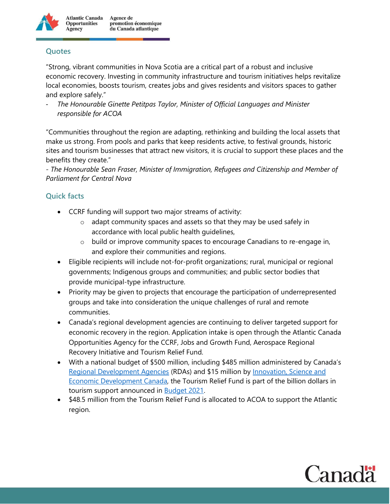

## **Quotes**

"Strong, vibrant communities in Nova Scotia are a critical part of a robust and inclusive economic recovery. Investing in community infrastructure and tourism initiatives helps revitalize local economies, boosts tourism, creates jobs and gives residents and visitors spaces to gather and explore safely."

- *The Honourable Ginette Petitpas Taylor, Minister of Official Languages and Minister responsible for ACOA*

"Communities throughout the region are adapting, rethinking and building the local assets that make us strong. From pools and parks that keep residents active, to festival grounds, historic sites and tourism businesses that attract new visitors, it is crucial to support these places and the benefits they create."

*- The Honourable Sean Fraser, Minister of Immigration, Refugees and Citizenship and Member of Parliament for Central Nova*

### **Quick facts**

- CCRF funding will support two major streams of activity:
	- o adapt community spaces and assets so that they may be used safely in accordance with local public health guidelines,
	- o build or improve community spaces to encourage Canadians to re-engage in, and explore their communities and regions.
- Eligible recipients will include not-for-profit organizations; rural, municipal or regional governments; Indigenous groups and communities; and public sector bodies that provide municipal-type infrastructure.
- Priority may be given to projects that encourage the participation of underrepresented groups and take into consideration the unique challenges of rural and remote communities.
- Canada's regional development agencies are continuing to deliver targeted support for economic recovery in the region. Application intake is open through the Atlantic Canada Opportunities Agency for the CCRF, Jobs and Growth Fund, Aerospace Regional Recovery Initiative and Tourism Relief Fund.
- With a national budget of \$500 million, including \$485 million administered by Canada's [Regional Development Agencies](https://www.ic.gc.ca/eic/site/icgc.nsf/eng/h_07662.html) (RDAs) and \$15 million by [Innovation, Science and](https://www.ic.gc.ca/eic/site/icgc.nsf/eng/07736.html)  [Economic Development Canada,](https://www.ic.gc.ca/eic/site/icgc.nsf/eng/07736.html) the Tourism Relief Fund is part of the billion dollars in tourism support announced in **Budget 2021**.
- \$48.5 million from the Tourism Relief Fund is allocated to ACOA to support the Atlantic region.

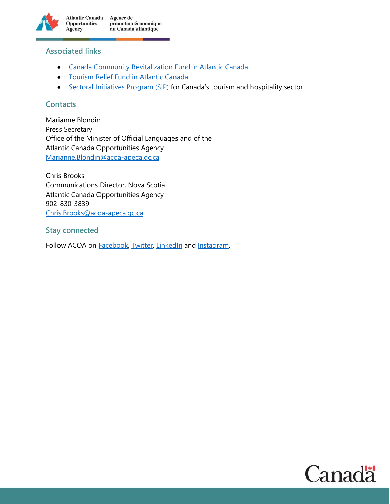

#### **Associated links**

- **[Canada Community Revitalization Fund in Atlantic Canada](https://www.canada.ca/en/atlantic-canada-opportunities/campaigns/covid19/ccrf.html)**
- **[Tourism Relief Fund in Atlantic Canada](https://www.canada.ca/en/atlantic-canada-opportunities/campaigns/covid19/tourism-relief-fund.html)**
- [Sectoral Initiatives Program \(SIP\)](https://www.canada.ca/en/employment-social-development/news/2021/12/government-of-canada-announces-support-to-the-tourism-sector-to-create-jobs-and-strengthen-the-economy.html) for Canada's tourism and hospitality sector

#### **Contacts**

Marianne Blondin Press Secretary Office of the Minister of Official Languages and of the Atlantic Canada Opportunities Agency [Marianne.Blondin@acoa-apeca.gc.ca](mailto:Marianne.Blondin@acoa-apeca.gc.ca)

Chris Brooks Communications Director, Nova Scotia Atlantic Canada Opportunities Agency 902-830-3839 [Chris.Brooks@acoa-apeca.gc.ca](mailto:Chris.Brooks@acoa-apeca.gc.ca)

**Stay connected**

Follow ACOA on [Facebook,](https://www.facebook.com/ACOACanada/) [Twitter,](https://twitter.com/ACOACanada) [LinkedIn](https://www.linkedin.com/company/acoa-apeca/) and [Instagram.](https://www.instagram.com/acoacanada/)

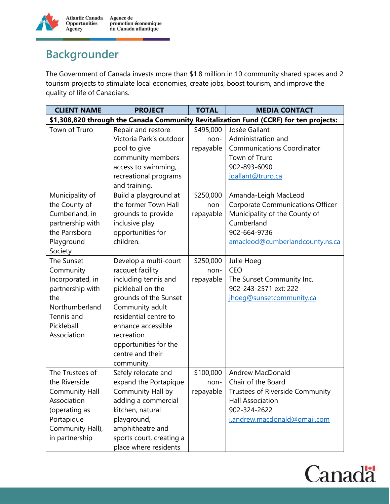

## **Backgrounder**

The Government of Canada invests more than \$1.8 million in 10 community shared spaces and 2 tourism projects to stimulate local economies, create jobs, boost tourism, and improve the quality of life of Canadians.

| <b>CLIENT NAME</b>                                                                    | <b>PROJECT</b>                           | <b>TOTAL</b> | <b>MEDIA CONTACT</b>                        |  |  |  |
|---------------------------------------------------------------------------------------|------------------------------------------|--------------|---------------------------------------------|--|--|--|
| \$1,308,820 through the Canada Community Revitalization Fund (CCRF) for ten projects: |                                          |              |                                             |  |  |  |
| Town of Truro                                                                         | Repair and restore                       | \$495,000    | Josée Gallant                               |  |  |  |
|                                                                                       | Victoria Park's outdoor                  | non-         | Administration and                          |  |  |  |
|                                                                                       | pool to give                             | repayable    | <b>Communications Coordinator</b>           |  |  |  |
|                                                                                       | community members                        |              | Town of Truro                               |  |  |  |
|                                                                                       | access to swimming,                      |              | 902-893-6090                                |  |  |  |
|                                                                                       | recreational programs                    |              | jgallant@truro.ca                           |  |  |  |
|                                                                                       | and training.                            |              |                                             |  |  |  |
| Municipality of                                                                       | Build a playground at                    | \$250,000    | Amanda-Leigh MacLeod                        |  |  |  |
| the County of                                                                         | the former Town Hall                     | non-         | <b>Corporate Communications Officer</b>     |  |  |  |
| Cumberland, in                                                                        | grounds to provide                       | repayable    | Municipality of the County of               |  |  |  |
| partnership with                                                                      | inclusive play                           |              | Cumberland                                  |  |  |  |
| the Parrsboro                                                                         | opportunities for                        |              | 902-664-9736                                |  |  |  |
| Playground                                                                            | children.                                |              | amacleod@cumberlandcounty.ns.ca             |  |  |  |
| Society                                                                               |                                          |              |                                             |  |  |  |
| The Sunset                                                                            | Develop a multi-court                    | \$250,000    | Julie Hoeg                                  |  |  |  |
| Community                                                                             | racquet facility                         | non-         | <b>CEO</b>                                  |  |  |  |
| Incorporated, in                                                                      | including tennis and                     | repayable    | The Sunset Community Inc.                   |  |  |  |
| partnership with                                                                      | pickleball on the                        |              | 902-243-2571 ext: 222                       |  |  |  |
| the                                                                                   | grounds of the Sunset                    |              | jhoeg@sunsetcommunity.ca                    |  |  |  |
| Northumberland                                                                        | Community adult<br>residential centre to |              |                                             |  |  |  |
| Tennis and<br>Pickleball                                                              | enhance accessible                       |              |                                             |  |  |  |
| Association                                                                           | recreation                               |              |                                             |  |  |  |
|                                                                                       | opportunities for the                    |              |                                             |  |  |  |
|                                                                                       | centre and their                         |              |                                             |  |  |  |
|                                                                                       | community.                               |              |                                             |  |  |  |
| The Trustees of                                                                       | Safely relocate and                      | \$100,000    | Andrew MacDonald                            |  |  |  |
| the Riverside                                                                         | expand the Portapique                    | non-         | Chair of the Board                          |  |  |  |
| <b>Community Hall</b>                                                                 | Community Hall by                        |              | repayable   Trustees of Riverside Community |  |  |  |
| Association                                                                           | adding a commercial                      |              | <b>Hall Association</b>                     |  |  |  |
| (operating as                                                                         | kitchen, natural                         |              | 902-324-2622                                |  |  |  |
| Portapique                                                                            | playground,                              |              | j.andrew.macdonald@gmail.com                |  |  |  |
| Community Hall),                                                                      | amphitheatre and                         |              |                                             |  |  |  |
| in partnership                                                                        | sports court, creating a                 |              |                                             |  |  |  |
|                                                                                       | place where residents                    |              |                                             |  |  |  |

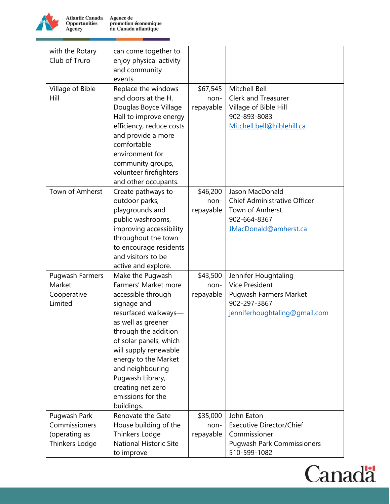

**Atlantic Canada<br>Opportunities<br>Agency** Agence de<br>promotion économique<br>du Canada atlantique

| with the Rotary               | can come together to          |           |                                   |
|-------------------------------|-------------------------------|-----------|-----------------------------------|
| Club of Truro                 | enjoy physical activity       |           |                                   |
|                               | and community                 |           |                                   |
|                               | events.                       |           |                                   |
| Village of Bible              | Replace the windows           | \$67,545  | Mitchell Bell                     |
| Hill                          | and doors at the H.           | non-      | <b>Clerk and Treasurer</b>        |
|                               | Douglas Boyce Village         | repayable | Village of Bible Hill             |
|                               | Hall to improve energy        |           | 902-893-8083                      |
|                               | efficiency, reduce costs      |           | Mitchell.bell@biblehill.ca        |
|                               | and provide a more            |           |                                   |
|                               | comfortable                   |           |                                   |
|                               | environment for               |           |                                   |
|                               |                               |           |                                   |
|                               | community groups,             |           |                                   |
|                               | volunteer firefighters        |           |                                   |
|                               | and other occupants.          |           |                                   |
| Town of Amherst               | Create pathways to            | \$46,200  | Jason MacDonald                   |
|                               | outdoor parks,                | non-      | Chief Administrative Officer      |
|                               | playgrounds and               | repayable | Town of Amherst                   |
|                               | public washrooms,             |           | 902-664-8367                      |
|                               | improving accessibility       |           | JMacDonald@amherst.ca             |
|                               | throughout the town           |           |                                   |
|                               | to encourage residents        |           |                                   |
|                               | and visitors to be            |           |                                   |
|                               | active and explore.           |           |                                   |
| Pugwash Farmers               | Make the Pugwash              | \$43,500  | Jennifer Houghtaling              |
| Market                        | Farmers' Market more          | non-      | <b>Vice President</b>             |
| Cooperative                   | accessible through            | repayable | <b>Pugwash Farmers Market</b>     |
| Limited                       | signage and                   |           | 902-297-3867                      |
|                               | resurfaced walkways-          |           | jenniferhoughtaling@gmail.com     |
|                               | as well as greener            |           |                                   |
|                               | through the addition          |           |                                   |
|                               | of solar panels, which        |           |                                   |
|                               | will supply renewable         |           |                                   |
|                               | energy to the Market          |           |                                   |
|                               | and neighbouring              |           |                                   |
|                               | Pugwash Library,              |           |                                   |
|                               | creating net zero             |           |                                   |
|                               | emissions for the             |           |                                   |
|                               | buildings.                    |           |                                   |
|                               | Renovate the Gate             | \$35,000  | John Eaton                        |
| Pugwash Park<br>Commissioners |                               |           | <b>Executive Director/Chief</b>   |
|                               | House building of the         | non-      | Commissioner                      |
| (operating as                 | Thinkers Lodge                | repayable |                                   |
| Thinkers Lodge                | <b>National Historic Site</b> |           | <b>Pugwash Park Commissioners</b> |
|                               | to improve                    |           | 510-599-1082                      |